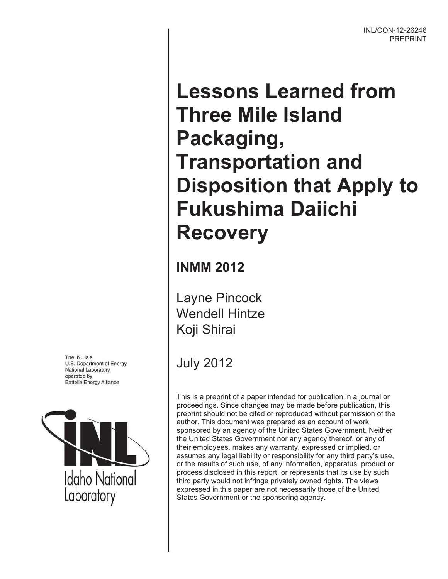# **Lessons Learned from Three Mile Island Packaging, Transportation and Disposition that Apply to Fukushima Daiichi Recovery**

**INMM 2012** 

Layne Pincock Wendell Hintze Koji Shirai

July 2012

This is a preprint of a paper intended for publication in a journal or proceedings. Since changes may be made before publication, this preprint should not be cited or reproduced without permission of the author. This document was prepared as an account of work sponsored by an agency of the United States Government. Neither the United States Government nor any agency thereof, or any of their employees, makes any warranty, expressed or implied, or assumes any legal liability or responsibility for any third party's use, or the results of such use, of any information, apparatus, product or process disclosed in this report, or represents that its use by such third party would not infringe privately owned rights. The views expressed in this paper are not necessarily those of the United States Government or the sponsoring agency.

The INL is a U.S. Department of Energy National Laboratory operated by **Battelle Energy Alliance** 

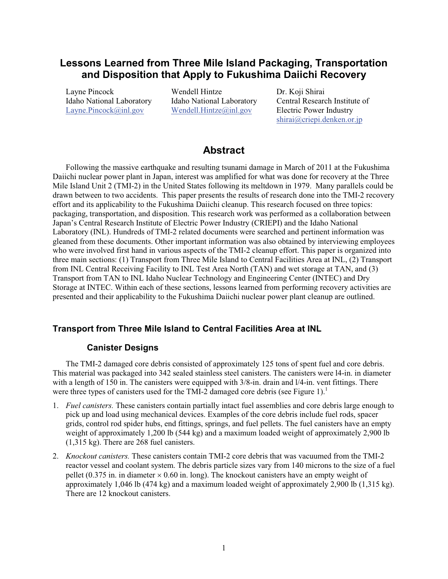# **Lessons Learned from Three Mile Island Packaging, Transportation and Disposition that Apply to Fukushima Daiichi Recovery**

Layne Pincock Wendell Hintze Dr. Koji Shirai Layne.Pincock@inl.gov Wendell.Hintze@inl.gov

Idaho National Laboratory Idaho National Laboratory Central Research Institute of Layne.Pincock@inl.gov Wendell.Hintze@inl.gov Electric Power Industry shirai@criepi.denken.or.jp

## **Abstract**

Following the massive earthquake and resulting tsunami damage in March of 2011 at the Fukushima Daiichi nuclear power plant in Japan, interest was amplified for what was done for recovery at the Three Mile Island Unit 2 (TMI-2) in the United States following its meltdown in 1979. Many parallels could be drawn between to two accidents. This paper presents the results of research done into the TMI-2 recovery effort and its applicability to the Fukushima Daiichi cleanup. This research focused on three topics: packaging, transportation, and disposition. This research work was performed as a collaboration between Japan's Central Research Institute of Electric Power Industry (CRIEPI) and the Idaho National Laboratory (INL). Hundreds of TMI-2 related documents were searched and pertinent information was gleaned from these documents. Other important information was also obtained by interviewing employees who were involved first hand in various aspects of the TMI-2 cleanup effort. This paper is organized into three main sections: (1) Transport from Three Mile Island to Central Facilities Area at INL, (2) Transport from INL Central Receiving Facility to INL Test Area North (TAN) and wet storage at TAN, and (3) Transport from TAN to INL Idaho Nuclear Technology and Engineering Center (INTEC) and Dry Storage at INTEC. Within each of these sections, lessons learned from performing recovery activities are presented and their applicability to the Fukushima Daiichi nuclear power plant cleanup are outlined.

## **Transport from Three Mile Island to Central Facilities Area at INL**

## **Canister Designs**

The TMI-2 damaged core debris consisted of approximately 125 tons of spent fuel and core debris. This material was packaged into 342 sealed stainless steel canisters. The canisters were l4-in. in diameter with a length of 150 in. The canisters were equipped with  $3/8$ -in. drain and  $1/4$ -in. vent fittings. There were three types of canisters used for the  $TMI-2$  damaged core debris (see Figure 1).<sup>1</sup>

- 1. *Fuel canisters.* These canisters contain partially intact fuel assemblies and core debris large enough to pick up and load using mechanical devices. Examples of the core debris include fuel rods, spacer grids, control rod spider hubs, end fittings, springs, and fuel pellets. The fuel canisters have an empty weight of approximately 1,200 lb (544 kg) and a maximum loaded weight of approximately 2,900 lb (1,315 kg). There are 268 fuel canisters.
- 2. *Knockout canisters.* These canisters contain TMI-2 core debris that was vacuumed from the TMI-2 reactor vessel and coolant system. The debris particle sizes vary from 140 microns to the size of a fuel pellet (0.375 in. in diameter  $\times$  0.60 in. long). The knockout canisters have an empty weight of approximately 1,046 lb (474 kg) and a maximum loaded weight of approximately 2,900 lb  $(1,315 \text{ kg})$ . There are 12 knockout canisters.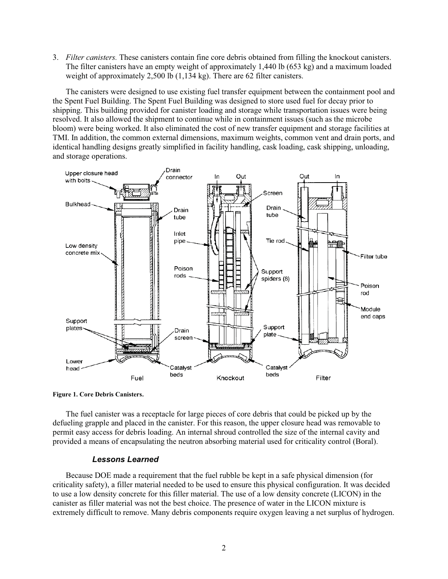3. *Filter canisters.* These canisters contain fine core debris obtained from filling the knockout canisters. The filter canisters have an empty weight of approximately 1,440 lb (653 kg) and a maximum loaded weight of approximately 2,500 lb (1,134 kg). There are 62 filter canisters.

The canisters were designed to use existing fuel transfer equipment between the containment pool and the Spent Fuel Building. The Spent Fuel Building was designed to store used fuel for decay prior to shipping. This building provided for canister loading and storage while transportation issues were being resolved. It also allowed the shipment to continue while in containment issues (such as the microbe bloom) were being worked. It also eliminated the cost of new transfer equipment and storage facilities at TMI. In addition, the common external dimensions, maximum weights, common vent and drain ports, and identical handling designs greatly simplified in facility handling, cask loading, cask shipping, unloading, and storage operations.



**Figure 1. Core Debris Canisters.**

The fuel canister was a receptacle for large pieces of core debris that could be picked up by the defueling grapple and placed in the canister. For this reason, the upper closure head was removable to permit easy access for debris loading. An internal shroud controlled the size of the internal cavity and provided a means of encapsulating the neutron absorbing material used for criticality control (Boral).

#### *Lessons Learned*

Because DOE made a requirement that the fuel rubble be kept in a safe physical dimension (for criticality safety), a filler material needed to be used to ensure this physical configuration. It was decided to use a low density concrete for this filler material. The use of a low density concrete (LICON) in the canister as filler material was not the best choice. The presence of water in the LICON mixture is extremely difficult to remove. Many debris components require oxygen leaving a net surplus of hydrogen.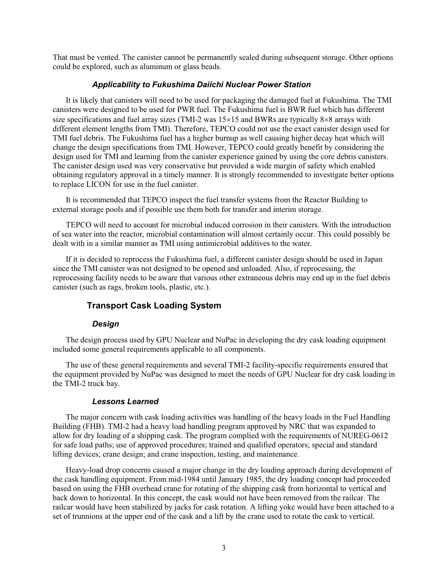That must be vented. The canister cannot be permanently sealed during subsequent storage. Other options could be explored, such as aluminum or glass beads.

#### *Applicability to Fukushima Daiichi Nuclear Power Station*

It is likely that canisters will need to be used for packaging the damaged fuel at Fukushima. The TMI canisters were designed to be used for PWR fuel. The Fukushima fuel is BWR fuel which has different size specifications and fuel array sizes (TMI-2 was 15×15 and BWRs are typically 8×8 arrays with different element lengths from TMI). Therefore, TEPCO could not use the exact canister design used for TMI fuel debris. The Fukushima fuel has a higher burnup as well causing higher decay heat which will change the design specifications from TMI. However, TEPCO could greatly benefit by considering the design used for TMI and learning from the canister experience gained by using the core debris canisters. The canister design used was very conservative but provided a wide margin of safety which enabled obtaining regulatory approval in a timely manner. It is strongly recommended to investigate better options to replace LICON for use in the fuel canister.

It is recommended that TEPCO inspect the fuel transfer systems from the Reactor Building to external storage pools and if possible use them both for transfer and interim storage.

TEPCO will need to account for microbial induced corrosion in their canisters. With the introduction of sea water into the reactor, microbial contamination will almost certainly occur. This could possibly be dealt with in a similar manner as TMI using antimicrobial additives to the water.

If it is decided to reprocess the Fukushima fuel, a different canister design should be used in Japan since the TMI canister was not designed to be opened and unloaded. Also, if reprocessing, the reprocessing facility needs to be aware that various other extraneous debris may end up in the fuel debris canister (such as rags, broken tools, plastic, etc.).

## **Transport Cask Loading System**

#### *Design*

The design process used by GPU Nuclear and NuPac in developing the dry cask loading equipment included some general requirements applicable to all components.

The use of these general requirements and several TMI-2 facility-specific requirements ensured that the equipment provided by NuPac was designed to meet the needs of GPU Nuclear for dry cask loading in the TMI-2 truck bay.

#### *Lessons Learned*

The major concern with cask loading activities was handling of the heavy loads in the Fuel Handling Building (FHB). TMI-2 had a heavy load handling program approved by NRC that was expanded to allow for dry loading of a shipping cask. The program complied with the requirements of NUREG-0612 for safe load paths; use of approved procedures; trained and qualified operators; special and standard lifting devices; crane design; and crane inspection, testing, and maintenance.

Heavy-load drop concerns caused a major change in the dry loading approach during development of the cask handling equipment. From mid-1984 until January 1985, the dry loading concept had proceeded based on using the FHB overhead crane for rotating of the shipping cask from horizontal to vertical and back down to horizontal. In this concept, the cask would not have been removed from the railcar. The railcar would have been stabilized by jacks for cask rotation. A lifting yoke would have been attached to a set of trunnions at the upper end of the cask and a lift by the crane used to rotate the cask to vertical.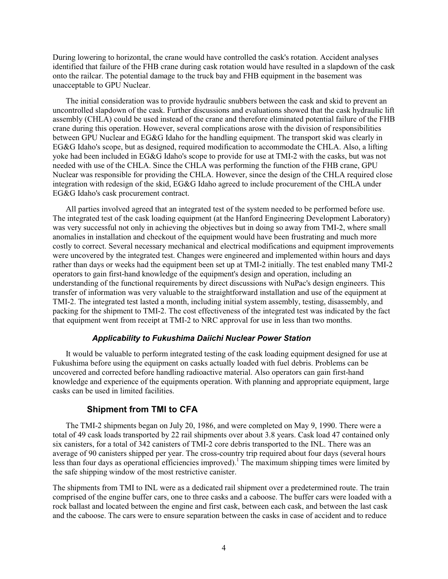During lowering to horizontal, the crane would have controlled the cask's rotation. Accident analyses identified that failure of the FHB crane during cask rotation would have resulted in a slapdown of the cask onto the railcar. The potential damage to the truck bay and FHB equipment in the basement was unacceptable to GPU Nuclear.

The initial consideration was to provide hydraulic snubbers between the cask and skid to prevent an uncontrolled slapdown of the cask. Further discussions and evaluations showed that the cask hydraulic lift assembly (CHLA) could be used instead of the crane and therefore eliminated potential failure of the FHB crane during this operation. However, several complications arose with the division of responsibilities between GPU Nuclear and EG&G Idaho for the handling equipment. The transport skid was clearly in EG&G Idaho's scope, but as designed, required modification to accommodate the CHLA. Also, a lifting yoke had been included in EG&G Idaho's scope to provide for use at TMI-2 with the casks, but was not needed with use of the CHLA. Since the CHLA was performing the function of the FHB crane, GPU Nuclear was responsible for providing the CHLA. However, since the design of the CHLA required close integration with redesign of the skid, EG&G Idaho agreed to include procurement of the CHLA under EG&G Idaho's cask procurement contract.

All parties involved agreed that an integrated test of the system needed to be performed before use. The integrated test of the cask loading equipment (at the Hanford Engineering Development Laboratory) was very successful not only in achieving the objectives but in doing so away from TMI-2, where small anomalies in installation and checkout of the equipment would have been frustrating and much more costly to correct. Several necessary mechanical and electrical modifications and equipment improvements were uncovered by the integrated test. Changes were engineered and implemented within hours and days rather than days or weeks had the equipment been set up at TMI-2 initially. The test enabled many TMI-2 operators to gain first-hand knowledge of the equipment's design and operation, including an understanding of the functional requirements by direct discussions with NuPac's design engineers. This transfer of information was very valuable to the straightforward installation and use of the equipment at TMI-2. The integrated test lasted a month, including initial system assembly, testing, disassembly, and packing for the shipment to TMI-2. The cost effectiveness of the integrated test was indicated by the fact that equipment went from receipt at TMI-2 to NRC approval for use in less than two months.

#### *Applicability to Fukushima Daiichi Nuclear Power Station*

It would be valuable to perform integrated testing of the cask loading equipment designed for use at Fukushima before using the equipment on casks actually loaded with fuel debris. Problems can be uncovered and corrected before handling radioactive material. Also operators can gain first-hand knowledge and experience of the equipments operation. With planning and appropriate equipment, large casks can be used in limited facilities.

#### **Shipment from TMI to CFA**

The TMI-2 shipments began on July 20, 1986, and were completed on May 9, 1990. There were a total of 49 cask loads transported by 22 rail shipments over about 3.8 years. Cask load 47 contained only six canisters, for a total of 342 canisters of TMI-2 core debris transported to the INL. There was an average of 90 canisters shipped per year. The cross-country trip required about four days (several hours less than four days as operational efficiencies improved).<sup>1</sup> The maximum shipping times were limited by the safe shipping window of the most restrictive canister.

The shipments from TMI to INL were as a dedicated rail shipment over a predetermined route. The train comprised of the engine buffer cars, one to three casks and a caboose. The buffer cars were loaded with a rock ballast and located between the engine and first cask, between each cask, and between the last cask and the caboose. The cars were to ensure separation between the casks in case of accident and to reduce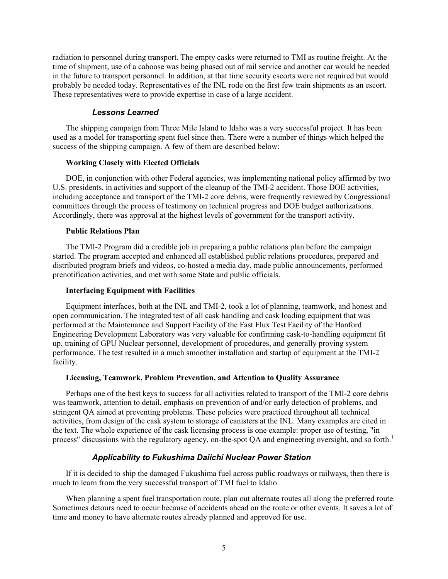radiation to personnel during transport. The empty casks were returned to TMI as routine freight. At the time of shipment, use of a caboose was being phased out of rail service and another car would be needed in the future to transport personnel. In addition, at that time security escorts were not required but would probably be needed today. Representatives of the INL rode on the first few train shipments as an escort. These representatives were to provide expertise in case of a large accident.

#### *Lessons Learned*

The shipping campaign from Three Mile Island to Idaho was a very successful project. It has been used as a model for transporting spent fuel since then. There were a number of things which helped the success of the shipping campaign. A few of them are described below:

#### **Working Closely with Elected Officials**

DOE, in conjunction with other Federal agencies, was implementing national policy affirmed by two U.S. presidents, in activities and support of the cleanup of the TMI-2 accident. Those DOE activities, including acceptance and transport of the TMI-2 core debris, were frequently reviewed by Congressional committees through the process of testimony on technical progress and DOE budget authorizations. Accordingly, there was approval at the highest levels of government for the transport activity.

#### **Public Relations Plan**

The TMI-2 Program did a credible job in preparing a public relations plan before the campaign started. The program accepted and enhanced all established public relations procedures, prepared and distributed program briefs and videos, co-hosted a media day, made public announcements, performed prenotification activities, and met with some State and public officials.

#### **Interfacing Equipment with Facilities**

Equipment interfaces, both at the INL and TMI-2, took a lot of planning, teamwork, and honest and open communication. The integrated test of all cask handling and cask loading equipment that was performed at the Maintenance and Support Facility of the Fast Flux Test Facility of the Hanford Engineering Development Laboratory was very valuable for confirming cask-to-handling equipment fit up, training of GPU Nuclear personnel, development of procedures, and generally proving system performance. The test resulted in a much smoother installation and startup of equipment at the TMI-2 facility.

#### **Licensing, Teamwork, Problem Prevention, and Attention to Quality Assurance**

Perhaps one of the best keys to success for all activities related to transport of the TMI-2 core debris was teamwork, attention to detail, emphasis on prevention of and/or early detection of problems, and stringent QA aimed at preventing problems. These policies were practiced throughout all technical activities, from design of the cask system to storage of canisters at the INL. Many examples are cited in the text. The whole experience of the cask licensing process is one example: proper use of testing, "in process" discussions with the regulatory agency, on-the-spot QA and engineering oversight, and so forth.<sup>1</sup>

#### *Applicability to Fukushima Daiichi Nuclear Power Station*

If it is decided to ship the damaged Fukushima fuel across public roadways or railways, then there is much to learn from the very successful transport of TMI fuel to Idaho.

When planning a spent fuel transportation route, plan out alternate routes all along the preferred route. Sometimes detours need to occur because of accidents ahead on the route or other events. It saves a lot of time and money to have alternate routes already planned and approved for use.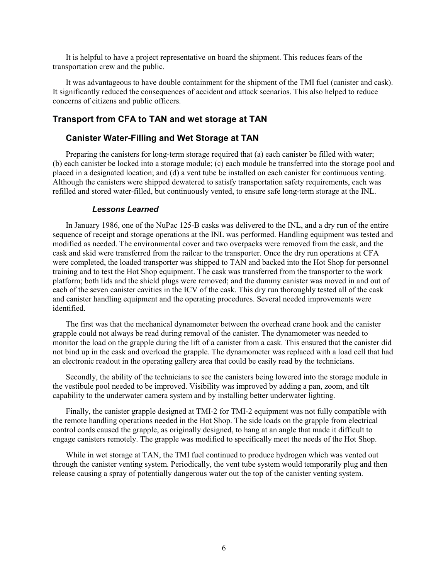It is helpful to have a project representative on board the shipment. This reduces fears of the transportation crew and the public.

It was advantageous to have double containment for the shipment of the TMI fuel (canister and cask). It significantly reduced the consequences of accident and attack scenarios. This also helped to reduce concerns of citizens and public officers.

#### **Transport from CFA to TAN and wet storage at TAN**

#### **Canister Water-Filling and Wet Storage at TAN**

Preparing the canisters for long-term storage required that (a) each canister be filled with water; (b) each canister be locked into a storage module; (c) each module be transferred into the storage pool and placed in a designated location; and (d) a vent tube be installed on each canister for continuous venting. Although the canisters were shipped dewatered to satisfy transportation safety requirements, each was refilled and stored water-filled, but continuously vented, to ensure safe long-term storage at the INL.

#### *Lessons Learned*

In January 1986, one of the NuPac 125-B casks was delivered to the INL, and a dry run of the entire sequence of receipt and storage operations at the INL was performed. Handling equipment was tested and modified as needed. The environmental cover and two overpacks were removed from the cask, and the cask and skid were transferred from the railcar to the transporter. Once the dry run operations at CFA were completed, the loaded transporter was shipped to TAN and backed into the Hot Shop for personnel training and to test the Hot Shop equipment. The cask was transferred from the transporter to the work platform; both lids and the shield plugs were removed; and the dummy canister was moved in and out of each of the seven canister cavities in the ICV of the cask. This dry run thoroughly tested all of the cask and canister handling equipment and the operating procedures. Several needed improvements were identified.

The first was that the mechanical dynamometer between the overhead crane hook and the canister grapple could not always be read during removal of the canister. The dynamometer was needed to monitor the load on the grapple during the lift of a canister from a cask. This ensured that the canister did not bind up in the cask and overload the grapple. The dynamometer was replaced with a load cell that had an electronic readout in the operating gallery area that could be easily read by the technicians.

Secondly, the ability of the technicians to see the canisters being lowered into the storage module in the vestibule pool needed to be improved. Visibility was improved by adding a pan, zoom, and tilt capability to the underwater camera system and by installing better underwater lighting.

Finally, the canister grapple designed at TMI-2 for TMI-2 equipment was not fully compatible with the remote handling operations needed in the Hot Shop. The side loads on the grapple from electrical control cords caused the grapple, as originally designed, to hang at an angle that made it difficult to engage canisters remotely. The grapple was modified to specifically meet the needs of the Hot Shop.

While in wet storage at TAN, the TMI fuel continued to produce hydrogen which was vented out through the canister venting system. Periodically, the vent tube system would temporarily plug and then release causing a spray of potentially dangerous water out the top of the canister venting system.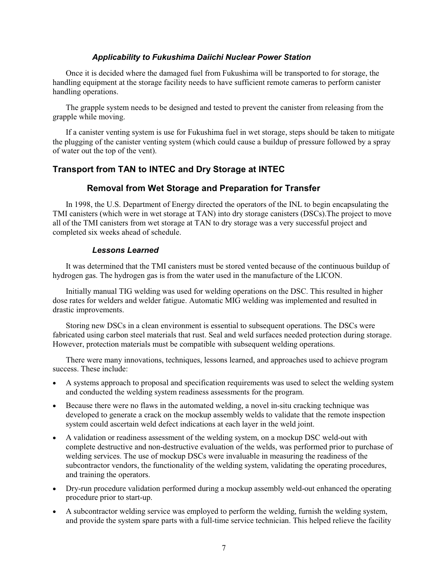#### *Applicability to Fukushima Daiichi Nuclear Power Station*

Once it is decided where the damaged fuel from Fukushima will be transported to for storage, the handling equipment at the storage facility needs to have sufficient remote cameras to perform canister handling operations.

The grapple system needs to be designed and tested to prevent the canister from releasing from the grapple while moving.

If a canister venting system is use for Fukushima fuel in wet storage, steps should be taken to mitigate the plugging of the canister venting system (which could cause a buildup of pressure followed by a spray of water out the top of the vent).

## **Transport from TAN to INTEC and Dry Storage at INTEC**

#### **Removal from Wet Storage and Preparation for Transfer**

In 1998, the U.S. Department of Energy directed the operators of the INL to begin encapsulating the TMI canisters (which were in wet storage at TAN) into dry storage canisters (DSCs).The project to move all of the TMI canisters from wet storage at TAN to dry storage was a very successful project and completed six weeks ahead of schedule.

#### *Lessons Learned*

It was determined that the TMI canisters must be stored vented because of the continuous buildup of hydrogen gas. The hydrogen gas is from the water used in the manufacture of the LICON.

Initially manual TIG welding was used for welding operations on the DSC. This resulted in higher dose rates for welders and welder fatigue. Automatic MIG welding was implemented and resulted in drastic improvements.

Storing new DSCs in a clean environment is essential to subsequent operations. The DSCs were fabricated using carbon steel materials that rust. Seal and weld surfaces needed protection during storage. However, protection materials must be compatible with subsequent welding operations.

There were many innovations, techniques, lessons learned, and approaches used to achieve program success. These include:

- A systems approach to proposal and specification requirements was used to select the welding system and conducted the welding system readiness assessments for the program.
- Because there were no flaws in the automated welding, a novel in-situ cracking technique was developed to generate a crack on the mockup assembly welds to validate that the remote inspection system could ascertain weld defect indications at each layer in the weld joint.
- A validation or readiness assessment of the welding system, on a mockup DSC weld-out with complete destructive and non-destructive evaluation of the welds, was performed prior to purchase of welding services. The use of mockup DSCs were invaluable in measuring the readiness of the subcontractor vendors, the functionality of the welding system, validating the operating procedures, and training the operators.
- Dry-run procedure validation performed during a mockup assembly weld-out enhanced the operating procedure prior to start-up.
- A subcontractor welding service was employed to perform the welding, furnish the welding system, and provide the system spare parts with a full-time service technician. This helped relieve the facility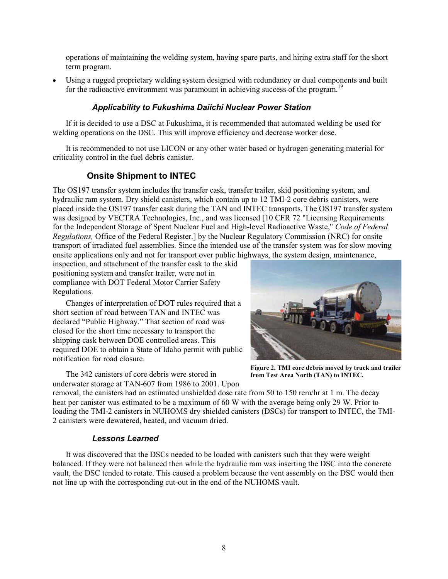operations of maintaining the welding system, having spare parts, and hiring extra staff for the short term program.

 Using a rugged proprietary welding system designed with redundancy or dual components and built for the radioactive environment was paramount in achieving success of the program.<sup>19</sup>

## *Applicability to Fukushima Daiichi Nuclear Power Station*

If it is decided to use a DSC at Fukushima, it is recommended that automated welding be used for welding operations on the DSC. This will improve efficiency and decrease worker dose.

It is recommended to not use LICON or any other water based or hydrogen generating material for criticality control in the fuel debris canister.

## **Onsite Shipment to INTEC**

The OS197 transfer system includes the transfer cask, transfer trailer, skid positioning system, and hydraulic ram system. Dry shield canisters, which contain up to 12 TMI-2 core debris canisters, were placed inside the OS197 transfer cask during the TAN and INTEC transports. The OS197 transfer system was designed by VECTRA Technologies, Inc., and was licensed [10 CFR 72 "Licensing Requirements for the Independent Storage of Spent Nuclear Fuel and High-level Radioactive Waste," *Code of Federal Regulations,* Office of the Federal Register.] by the Nuclear Regulatory Commission (NRC) for onsite transport of irradiated fuel assemblies. Since the intended use of the transfer system was for slow moving onsite applications only and not for transport over public highways, the system design, maintenance,

inspection, and attachment of the transfer cask to the skid positioning system and transfer trailer, were not in compliance with DOT Federal Motor Carrier Safety Regulations.

Changes of interpretation of DOT rules required that a short section of road between TAN and INTEC was declared "Public Highway." That section of road was closed for the short time necessary to transport the shipping cask between DOE controlled areas. This required DOE to obtain a State of Idaho permit with public notification for road closure.

The 342 canisters of core debris were stored in underwater storage at TAN-607 from 1986 to 2001. Upon



**Figure 2. TMI core debris moved by truck and trailer from Test Area North (TAN) to INTEC.**

removal, the canisters had an estimated unshielded dose rate from 50 to 150 rem/hr at 1 m. The decay heat per canister was estimated to be a maximum of 60 W with the average being only 29 W. Prior to loading the TMI-2 canisters in NUHOMS dry shielded canisters (DSCs) for transport to INTEC, the TMI-2 canisters were dewatered, heated, and vacuum dried.

## *Lessons Learned*

It was discovered that the DSCs needed to be loaded with canisters such that they were weight balanced. If they were not balanced then while the hydraulic ram was inserting the DSC into the concrete vault, the DSC tended to rotate. This caused a problem because the vent assembly on the DSC would then not line up with the corresponding cut-out in the end of the NUHOMS vault.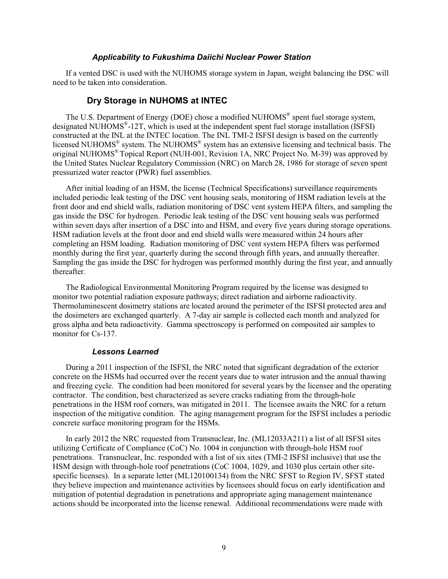#### *Applicability to Fukushima Daiichi Nuclear Power Station*

If a vented DSC is used with the NUHOMS storage system in Japan, weight balancing the DSC will need to be taken into consideration.

#### **Dry Storage in NUHOMS at INTEC**

The U.S. Department of Energy (DOE) chose a modified NUHOMS<sup>®</sup> spent fuel storage system, designated NUHOMS $^{\circ}$ -12T, which is used at the independent spent fuel storage installation (ISFSI) constructed at the INL at the INTEC location. The INL TMI-2 ISFSI design is based on the currently licensed NUHOMS® system. The NUHOMS® system has an extensive licensing and technical basis. The original NUHOMS® Topical Report (NUH-001, Revision 1A, NRC Project No. M-39) was approved by the United States Nuclear Regulatory Commission (NRC) on March 28, 1986 for storage of seven spent pressurized water reactor (PWR) fuel assemblies.

After initial loading of an HSM, the license (Technical Specifications) surveillance requirements included periodic leak testing of the DSC vent housing seals, monitoring of HSM radiation levels at the front door and end shield walls, radiation monitoring of DSC vent system HEPA filters, and sampling the gas inside the DSC for hydrogen. Periodic leak testing of the DSC vent housing seals was performed within seven days after insertion of a DSC into and HSM, and every five years during storage operations. HSM radiation levels at the front door and end shield walls were measured within 24 hours after completing an HSM loading. Radiation monitoring of DSC vent system HEPA filters was performed monthly during the first year, quarterly during the second through fifth years, and annually thereafter. Sampling the gas inside the DSC for hydrogen was performed monthly during the first year, and annually thereafter.

The Radiological Environmental Monitoring Program required by the license was designed to monitor two potential radiation exposure pathways; direct radiation and airborne radioactivity. Thermoluminescent dosimetry stations are located around the perimeter of the ISFSI protected area and the dosimeters are exchanged quarterly. A 7-day air sample is collected each month and analyzed for gross alpha and beta radioactivity. Gamma spectroscopy is performed on composited air samples to monitor for Cs-137.

#### *Lessons Learned*

During a 2011 inspection of the ISFSI, the NRC noted that significant degradation of the exterior concrete on the HSMs had occurred over the recent years due to water intrusion and the annual thawing and freezing cycle. The condition had been monitored for several years by the licensee and the operating contractor. The condition, best characterized as severe cracks radiating from the through-hole penetrations in the HSM roof corners, was mitigated in 2011. The licensee awaits the NRC for a return inspection of the mitigative condition. The aging management program for the ISFSI includes a periodic concrete surface monitoring program for the HSMs.

In early 2012 the NRC requested from Transnuclear, Inc. (ML12033A211) a list of all ISFSI sites utilizing Certificate of Compliance (CoC) No. 1004 in conjunction with through-hole HSM roof penetrations. Transnuclear, Inc. responded with a list of six sites (TMI-2 ISFSI inclusive) that use the HSM design with through-hole roof penetrations (CoC 1004, 1029, and 1030 plus certain other sitespecific licenses). In a separate letter (ML120100134) from the NRC SFST to Region IV, SFST stated they believe inspection and maintenance activities by licensees should focus on early identification and mitigation of potential degradation in penetrations and appropriate aging management maintenance actions should be incorporated into the license renewal. Additional recommendations were made with